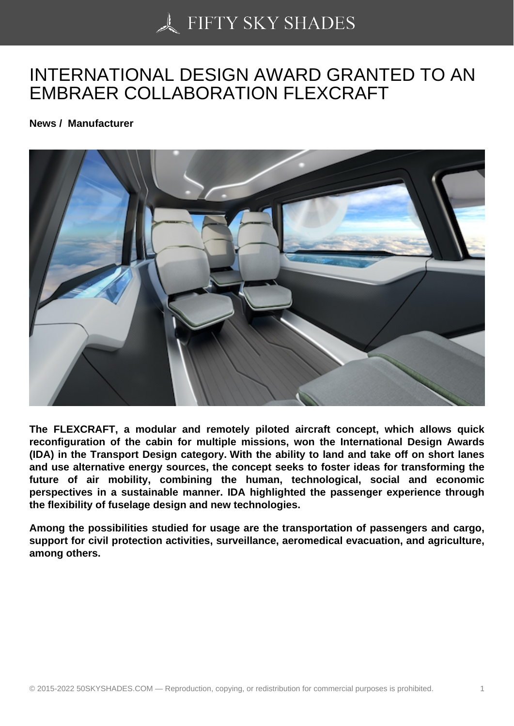## [INTERNATIONAL DES](https://50skyshades.com)IGN AWARD GRANTED TO AN EMBRAER COLLABORATION FLEXCRAFT

News / Manufacturer

The FLEXCRAFT, a modular and remotely piloted aircraft concept, which allows quick reconfiguration of the cabin for multiple missions, won the International Design Awards (IDA) in the Transport Design category. With the ability to land and take off on short lanes and use alternative energy sources, the concept seeks to foster ideas for transforming the future of air mobility, combining the human, technological, social and economic perspectives in a sustainable manner. IDA highlighted the passenger experience through the flexibility of fuselage design and new technologies.

Among the possibilities studied for usage are the transportation of passengers and cargo, support for civil protection activities, surveillance, aeromedical evacuation, and agriculture, among others.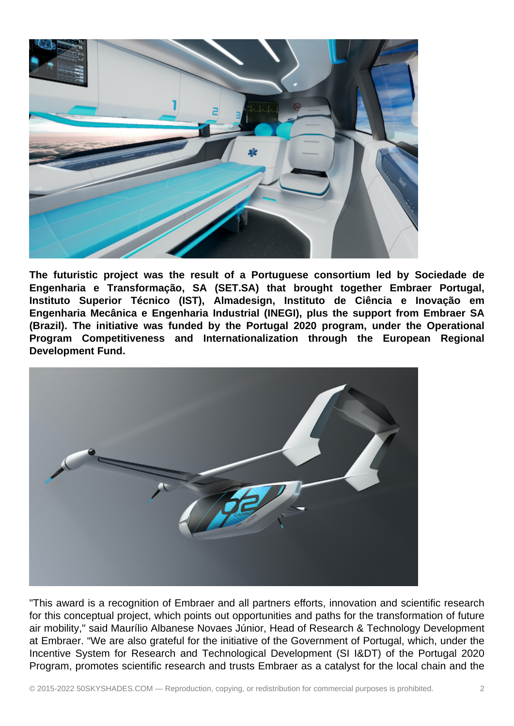

**The futuristic project was the result of a Portuguese consortium led by Sociedade de Engenharia e Transformação, SA (SET.SA) that brought together Embraer Portugal, Instituto Superior Técnico (IST), Almadesign, Instituto de Ciência e Inovação em Engenharia Mecânica e Engenharia Industrial (INEGI), plus the support from Embraer SA (Brazil). The initiative was funded by the Portugal 2020 program, under the Operational Program Competitiveness and Internationalization through the European Regional Development Fund.**



"This award is a recognition of Embraer and all partners efforts, innovation and scientific research for this conceptual project, which points out opportunities and paths for the transformation of future air mobility," said Maurílio Albanese Novaes Júnior, Head of Research & Technology Development at Embraer. "We are also grateful for the initiative of the Government of Portugal, which, under the Incentive System for Research and Technological Development (SI I&DT) of the Portugal 2020 Program, promotes scientific research and trusts Embraer as a catalyst for the local chain and the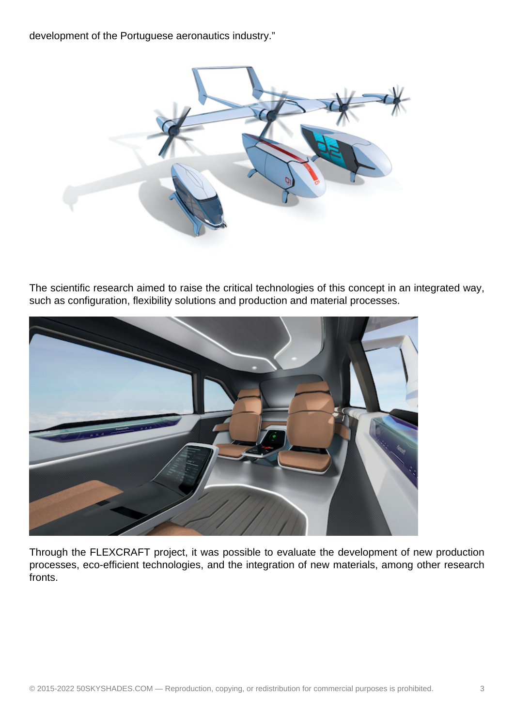development of the Portuguese aeronautics industry."



The scientific research aimed to raise the critical technologies of this concept in an integrated way, such as configuration, flexibility solutions and production and material processes.



Through the FLEXCRAFT project, it was possible to evaluate the development of new production processes, eco-efficient technologies, and the integration of new materials, among other research fronts.